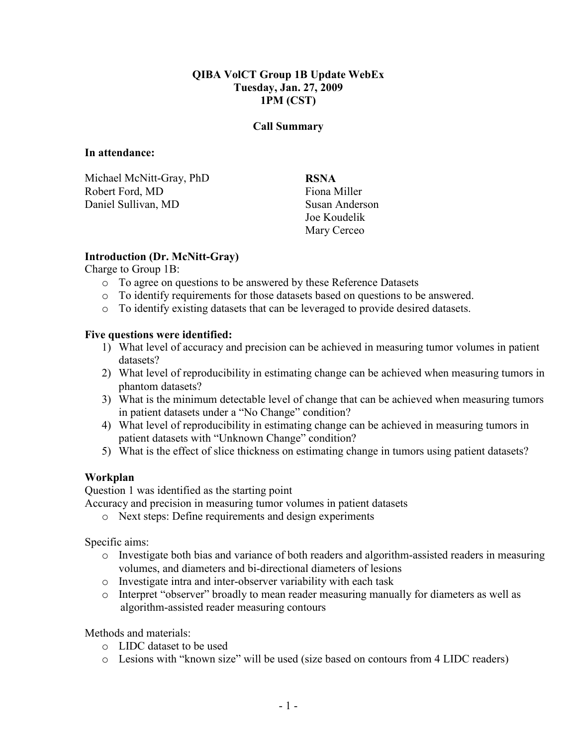## QIBA VolCT Group 1B Update WebEx Tuesday, Jan. 27, 2009 1PM (CST)

#### Call Summary

#### In attendance:

Michael McNitt-Gray, PhD Robert Ford, MD Daniel Sullivan, MD

RSNA Fiona Miller Susan Anderson Joe Koudelik Mary Cerceo

## Introduction (Dr. McNitt-Gray)

Charge to Group 1B:

- o To agree on questions to be answered by these Reference Datasets
- o To identify requirements for those datasets based on questions to be answered.
- o To identify existing datasets that can be leveraged to provide desired datasets.

### Five questions were identified:

- 1) What level of accuracy and precision can be achieved in measuring tumor volumes in patient datasets?
- 2) What level of reproducibility in estimating change can be achieved when measuring tumors in phantom datasets?
- 3) What is the minimum detectable level of change that can be achieved when measuring tumors in patient datasets under a "No Change" condition?
- 4) What level of reproducibility in estimating change can be achieved in measuring tumors in patient datasets with "Unknown Change" condition?
- 5) What is the effect of slice thickness on estimating change in tumors using patient datasets?

# Workplan

Question 1 was identified as the starting point

Accuracy and precision in measuring tumor volumes in patient datasets

o Next steps: Define requirements and design experiments

Specific aims:

- o Investigate both bias and variance of both readers and algorithm-assisted readers in measuring volumes, and diameters and bi-directional diameters of lesions
- o Investigate intra and inter-observer variability with each task
- o Interpret "observer" broadly to mean reader measuring manually for diameters as well as algorithm-assisted reader measuring contours

Methods and materials:

- o LIDC dataset to be used
- o Lesions with "known size" will be used (size based on contours from 4 LIDC readers)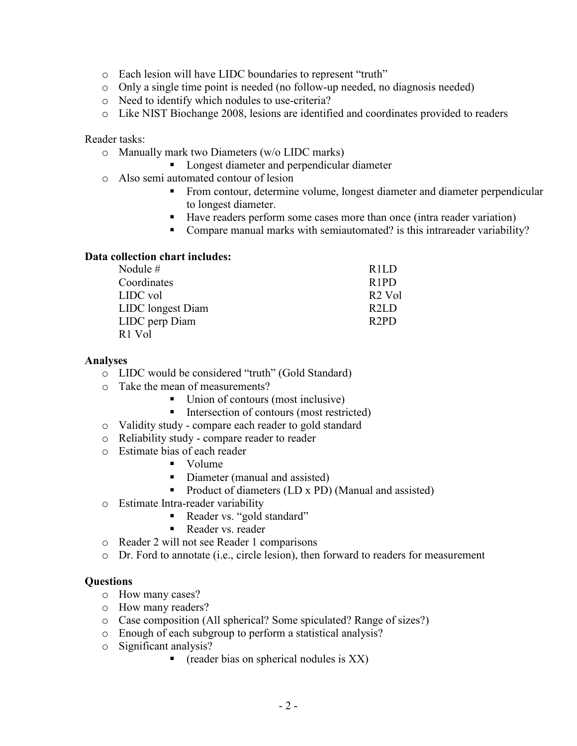- o Each lesion will have LIDC boundaries to represent "truth"
- o Only a single time point is needed (no follow-up needed, no diagnosis needed)
- o Need to identify which nodules to use-criteria?
- o Like NIST Biochange 2008, lesions are identified and coordinates provided to readers

#### Reader tasks:

- o Manually mark two Diameters (w/o LIDC marks)
	- **Longest diameter and perpendicular diameter**
- o Also semi automated contour of lesion
	- From contour, determine volume, longest diameter and diameter perpendicular to longest diameter.
	- Have readers perform some cases more than once (intra reader variation)
	- Compare manual marks with semiautomated? is this intrareader variability?

### Data collection chart includes:

| Nodule $#$                     | R <sub>1L</sub> D             |
|--------------------------------|-------------------------------|
| Coordinates                    | R <sub>1</sub> P <sub>D</sub> |
| LIDC vol                       | R <sub>2</sub> Vol            |
| LIDC longest Diam              | R2LD                          |
| LIDC perp Diam                 | R <sub>2</sub> PD             |
| R <sub>1</sub> V <sub>ol</sub> |                               |

#### Analyses

- o LIDC would be considered "truth" (Gold Standard)
- o Take the mean of measurements?
	- Union of contours (most inclusive)
	- Intersection of contours (most restricted)
- o Validity study compare each reader to gold standard
- o Reliability study compare reader to reader
- o Estimate bias of each reader
	- **volume**
	- Diameter (manual and assisted)
	- Product of diameters (LD x PD) (Manual and assisted)
- o Estimate Intra-reader variability
	- Reader vs. "gold standard"
	- Reader vs. reader
- o Reader 2 will not see Reader 1 comparisons
- o Dr. Ford to annotate (i.e., circle lesion), then forward to readers for measurement

### **Questions**

- o How many cases?
- o How many readers?
- o Case composition (All spherical? Some spiculated? Range of sizes?)
- o Enough of each subgroup to perform a statistical analysis?
- o Significant analysis?
	- reader bias on spherical nodules is  $XX$ )